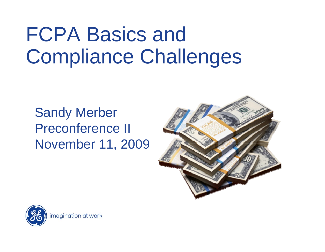# FCPA Basics and Compliance Challenges

#### Sandy Merber Preconference II November 11, 2009



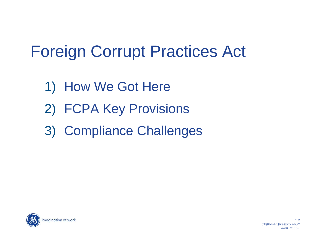## Foreign Corrupt Practices Act

- 1) How We Got Here
- 2) FCPA Key Provisions
- 3) Compliance Challenges

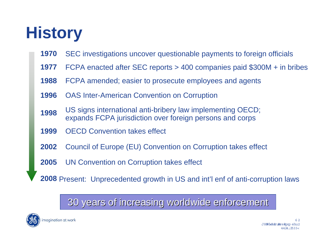# **History**

- **1970**SEC investigations uncover questionable payments to foreign officials
- **1977**FCPA enacted after SEC reports > 400 companies paid \$300M + in bribes
- **1988**FCPA amended; easier to prosecute employees and agents
- **1996**OAS Inter-American Convention on Corruption
- **1998**US signs international anti-bribery law implementing OECD; expands FCPA jurisdiction over foreign persons and corps
- **1999**OECD Convention takes effect
- **2002**Council of Europe (EU) Convention on Corruption takes effect
- **2005**UN Convention on Corruption takes effect

**2008** Present: Unprecedented growth in US and int'l enf of anti-corruption laws

#### 30 years of increasing worldwide enforcement 30 years of increasing worldwide enforcement

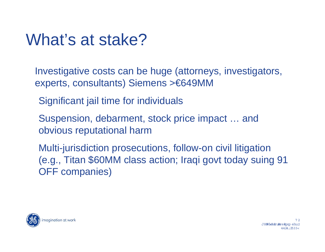#### What's at stake?

Investigative costs can be huge (attorneys, investigators, experts, consultants) Siemens >€649MM

Significant jail time for individuals

Suspension, debarment, stock price impact … and obvious reputational harm

Multi-jurisdiction prosecutions, follow-on civil litigation (e.g., Titan \$60MM class action; Iraqi govt today suing 91 OFF companies)

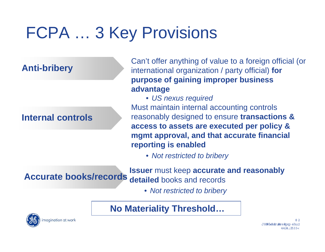# FCPA … 3 Key Provisions

#### **Internal controls**

**Anti-bribery** Can't offer anything of value to a foreign official (or<br>international organization / party official) **for purpose of gaining improper business advantage**

> • *US nexus required* Must maintain internal accounting controls reasonably designed to ensure **transactions & access to assets are executed per policy & mgmt approval, and that accurate financial reporting is enabled**

• *Not restricted to bribery*

**Accurate books/records detailed books and records**<br>Accurate books/records detailed books and records

• *Not restricted to bribery*

**No Materiality Threshold…**

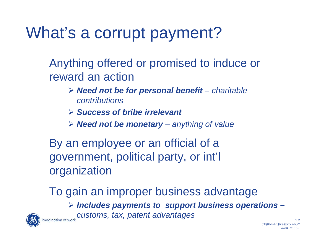#### What's a corrupt payment?

Anything offered or promised to induce or reward an action

- ¾ *Need not be for personal benefit – charitable contributions*
- ¾ *Success of bribe irrelevant*
- ¾ *Need not be monetary – anything of value*

By an employee or an official of a government, political party, or int'l organization

To gain an improper business advantage ¾ *Includes payments to support business operations – customs, tax, patent advantages*  magination at work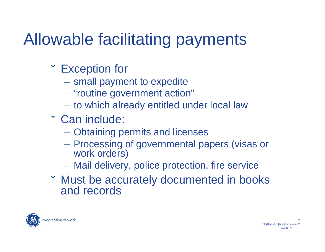# Allowable facilitating payments

- Exception for
	- small payment to expedite
	- "routine government action"
	- to which already entitled under local law
- Can include:
	- Obtaining permits and licenses
	- Processing of governmental papers (visas or work orders)
	- Mail delivery, police protection, fire service
- Must be accurately documented in books and records

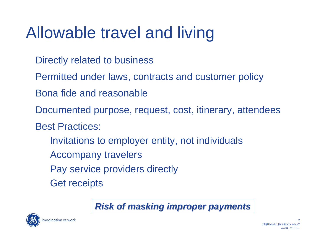### Allowable travel and living

- Directly related to business
- Permitted under laws, contracts and customer policy
- Bona fide and reasonable
- Documented purpose, request, cost, itinerary, attendees
- Best Practices:
	- Invitations to employer entity, not individuals
	- Accompany travelers
	- Pay service providers directly
	- Get receipts



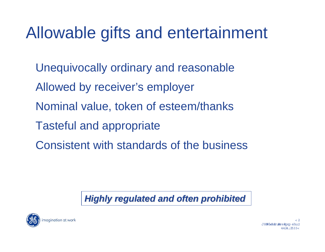#### Allowable gifts and entertainment

- Unequivocally ordinary and reasonable
- Allowed by receiver's employer
- Nominal value, token of esteem/thanks
- Tasteful and appropriate
- Consistent with standards of the business

#### **Highly regulated and often prohibited**

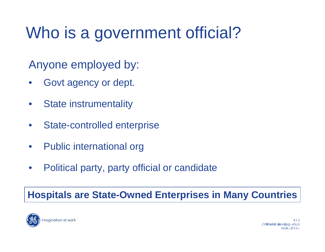## Who is a government official?

Anyone employed by:

- Govt agency or dept.
- State instrumentality
- State-controlled enterprise
- Public international org
- Political party, party official or candidate

#### **Hospitals are State-Owned Enterprises in Many Countries**

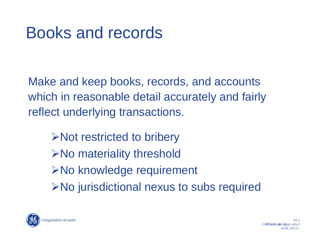Make and keep books, records, and accounts which in reasonable detail accurately and fairly reflect underlying transactions.

¾Not restricted to bribery ¾No materiality threshold **≻No knowledge requirement** ¾No jurisdictional nexus to subs required

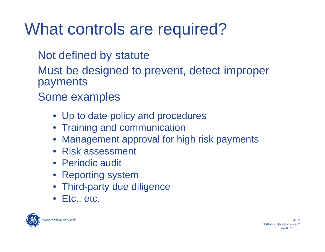#### What controls are required?

- Not defined by statute
- Must be designed to prevent, detect improper payments
- Some examples
	- Up to date policy and procedures
	- Training and communication
	- Management approval for high risk payments
	- Risk assessment
	- Periodic audit
	- Reporting system
	- Third-party due diligence
	- Etc., etc.

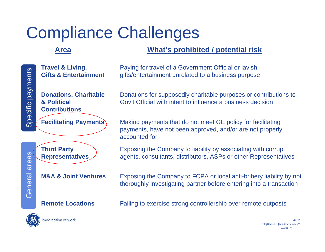#### Compliance Challenges

#### **Area**

#### **What's prohibited / potential risk**

General areas

General

**Travel & Living, Gifts & Entertainment**

**Donations, Charitable & Political Contributions**



**M&A & Joint Ventures**

#### **Remote Locations**

magination at work

Paying for travel of a Government Official or lavish gifts/entertainment unrelated to a business purpose

Donations for supposedly charitable purposes or contributions to Gov't Official with intent to influence a business decision

**Facilitating Payments** Making payments that do not meet GE policy for facilitating payments, have not been approved, and/or are not properly accounted for

> Exposing the Company to liability by associating with corrupt agents, consultants, distributors, ASPs or other Representatives

 Exposing the Company to FCPA or local anti-bribery liability by not thoroughly investigating partner before entering into a transaction

Failing to exercise strong controllership over remote outposts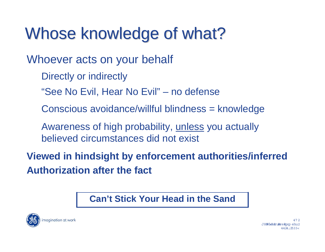#### Whose knowledge of what?

Whoever acts on your behalf

Directly or indirectly

"See No Evil, Hear No Evil" – no defense

Conscious avoidance/willful blindness = knowledge

Awareness of high probability, unless you actually believed circumstances did not exist

**Viewed in hindsight by enforcement authorities/inferred Authorization after the fact**

#### **Can't Stick Your Head in the Sand**

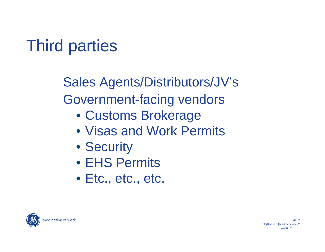# Third parties

Sales Agents/Distributors/JV's Government-facing vendors

- Customs Brokerage
- Visas and Work Permits
- Security
- EHS Permits
- Etc., etc., etc.

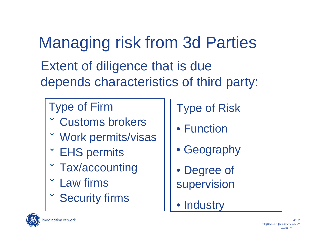Managing risk from 3d Parties Extent of diligence that is due depends characteristics of third party:

#### Type of Firm

- Customs brokers
- Work permits/visas
- EHS permits
- Tax/accounting
- $\checkmark$ Law firms
- $\checkmark$ Security firms

#### Type of Risk

- Function
- Geography
- Degree of supervision
- Industry

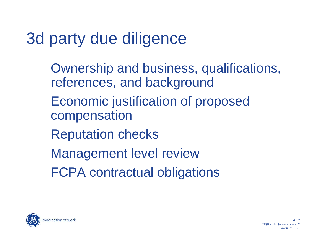### 3d party due diligence

Ownership and business, qualifications, references, and background

- Economic justification of proposed compensation
- Reputation checks
- Management level review
- FCPA contractual obligations



4:2 JH:柳Judh:#ru#mure#gxpehu2 4424;2533<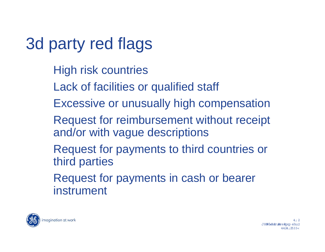## 3d party red flags

- High risk countries
- Lack of facilities or qualified staff
- Excessive or unusually high compensation
- Request for reimbursement without receipt and/or with vague descriptions
- Request for payments to third countries or third parties
- Request for payments in cash or bearer instrument